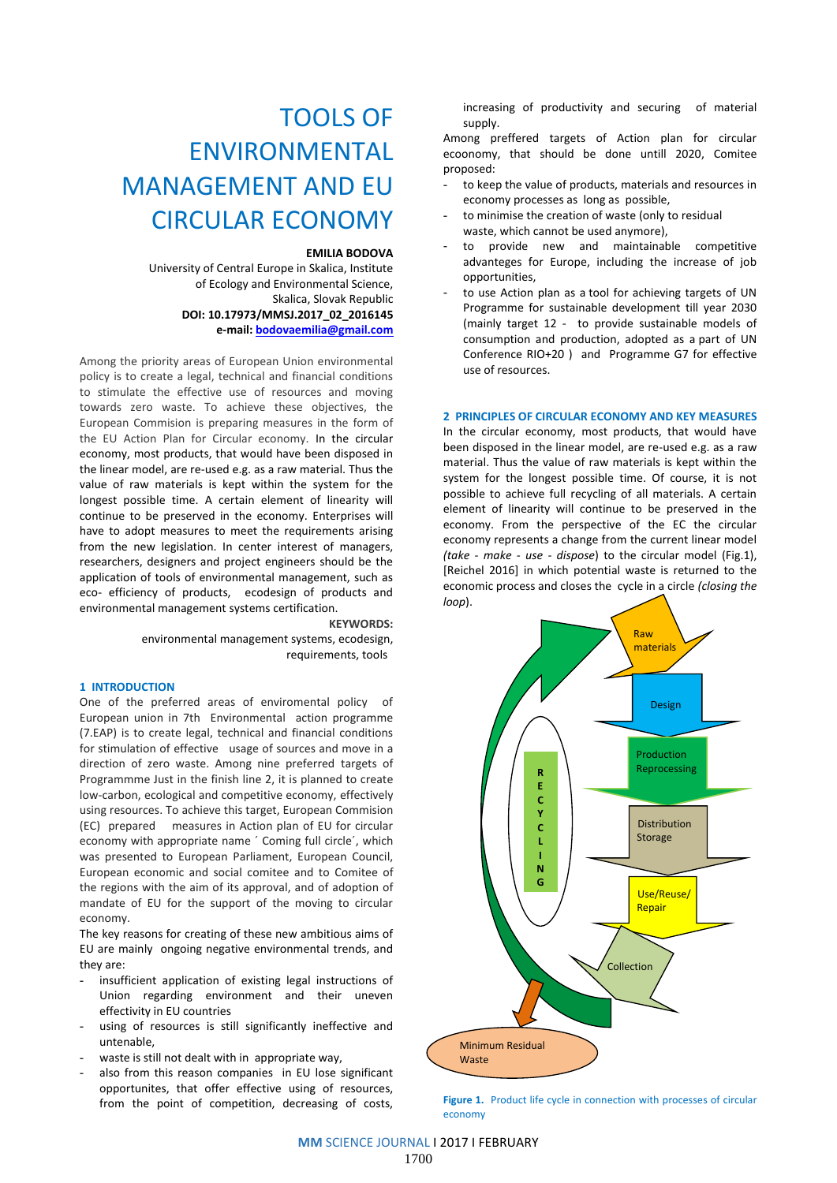# TOOLS OF ENVIRONMENTAL MANAGEMENT AND EU CIRCULAR ECONOMY

#### **EMILIA BODOVA**

 University of Central Europe in Skalica, Institute of Ecology and Environmental Science, Skalica, Slovak Republic **DOI: 10.17973/MMSJ.2017\_02\_2016145**

**e-mail: [bodovaemilia@gmail.com](mailto:bodovaemilia@gmail.com)**

Among the priority areas of European Union environmental policy is to create a legal, technical and financial conditions to stimulate the effective use of resources and moving towards zero waste. To achieve these objectives, the European Commision is preparing measures in the form of the EU Action Plan for Circular economy. In the circular economy, most products, that would have been disposed in the linear model, are re-used e.g. as a raw material. Thus the value of raw materials is kept within the system for the longest possible time. A certain element of linearity will continue to be preserved in the economy. Enterprises will have to adopt measures to meet the requirements arising from the new legislation. In center interest of managers, researchers, designers and project engineers should be the application of tools of environmental management, such as eco- efficiency of products, ecodesign of products and environmental management systems certification.

**KEYWORDS:**

environmental management systems, ecodesign, requirements, tools

#### **1 INTRODUCTION**

One of the preferred areas of enviromental policy of European union in 7th Environmental action programme (7.EAP) is to create legal, technical and financial conditions for stimulation of effective usage of sources and move in a direction of zero waste. Among nine preferred targets of Programmme Just in the finish line 2, it is planned to create low-carbon, ecological and competitive economy, effectively using resources. To achieve this target, European Commision (EC) prepared measures in Action plan of EU for circular economy with appropriate name ´ Coming full circle´, which was presented to European Parliament, European Council, European economic and social comitee and to Comitee of the regions with the aim of its approval, and of adoption of mandate of EU for the support of the moving to circular economy.

The key reasons for creating of these new ambitious aims of EU are mainly ongoing negative environmental trends, and they are:

- insufficient application of existing legal instructions of Union regarding environment and their uneven effectivity in EU countries
- using of resources is still significantly ineffective and untenable,
- waste is still not dealt with in appropriate way,
- also from this reason companies in EU lose significant opportunites, that offer effective using of resources, from the point of competition, decreasing of costs,

increasing of productivity and securing of material supply.

Among preffered targets of Action plan for circular ecoonomy, that should be done untill 2020, Comitee proposed:

- to keep the value of products, materials and resources in economy processes as long as possible,
- to minimise the creation of waste (only to residual waste, which cannot be used anymore),
- to provide new and maintainable competitive advanteges for Europe, including the increase of job opportunities,
- to use Action plan as a tool for achieving targets of UN Programme for sustainable development till year 2030 (mainly target 12 - to provide sustainable models of consumption and production, adopted as a part of UN Conference RIO+20 ) and Programme G7 for effective use of resources.

#### **2 PRINCIPLES OF CIRCULAR ECONOMY AND KEY MEASURES**

In the circular economy, most products, that would have been disposed in the linear model, are re-used e.g. as a raw material. Thus the value of raw materials is kept within the system for the longest possible time. Of course, it is not possible to achieve full recycling of all materials. A certain element of linearity will continue to be preserved in the economy. From the perspective of the EC the circular economy represents a change from the current linear model *(take - make - use - dispose*) to the circular model (Fig.1), [Reichel 2016] in which potential waste is returned to the economic process and closes the cycle in a circle *(closing the loop*).



Figure 1. Product life cycle in connection with processes of circular economy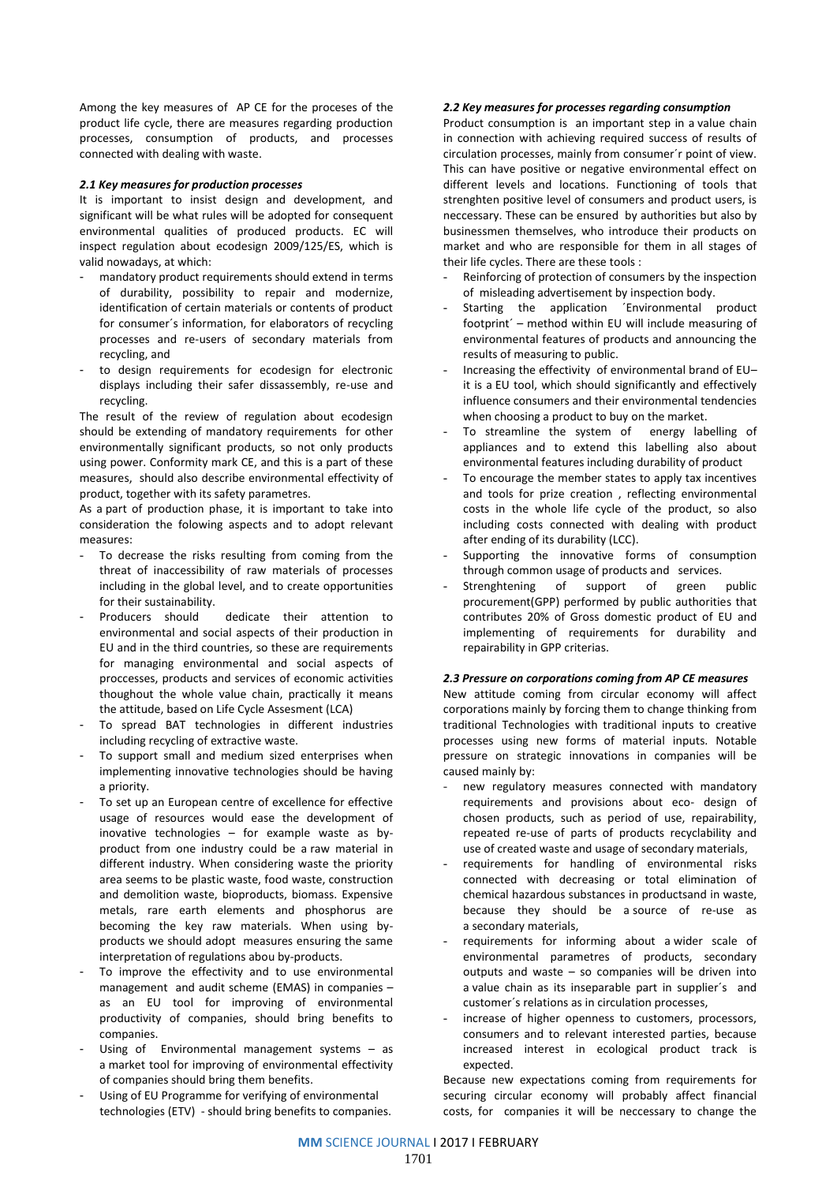Among the key measures of AP CE for the proceses of the product life cycle, there are measures regarding production processes, consumption of products, and processes connected with dealing with waste.

### *2.1 Key measures for production processes*

It is important to insist design and development, and significant will be what rules will be adopted for consequent environmental qualities of produced products. EC will inspect regulation about ecodesign 2009/125/ES, which is valid nowadays, at which:

- mandatory product requirements should extend in terms of durability, possibility to repair and modernize, identification of certain materials or contents of product for consumer´s information, for elaborators of recycling processes and re-users of secondary materials from recycling, and
- to design requirements for ecodesign for electronic displays including their safer dissassembly, re-use and recycling.

The result of the review of regulation about ecodesign should be extending of mandatory requirements for other environmentally significant products, so not only products using power. Conformity mark CE, and this is a part of these measures, should also describe environmental effectivity of product, together with its safety parametres.

As a part of production phase, it is important to take into consideration the folowing aspects and to adopt relevant measures:

- To decrease the risks resulting from coming from the threat of inaccessibility of raw materials of processes including in the global level, and to create opportunities for their sustainability.
- Producers should dedicate their attention to environmental and social aspects of their production in EU and in the third countries, so these are requirements for managing environmental and social aspects of proccesses, products and services of economic activities thoughout the whole value chain, practically it means the attitude, based on Life Cycle Assesment (LCA)
- To spread BAT technologies in different industries including recycling of extractive waste.
- To support small and medium sized enterprises when implementing innovative technologies should be having a priority.
- To set up an European centre of excellence for effective usage of resources would ease the development of inovative technologies – for example waste as byproduct from one industry could be a raw material in different industry. When considering waste the priority area seems to be plastic waste, food waste, construction and demolition waste, bioproducts, biomass. Expensive metals, rare earth elements and phosphorus are becoming the key raw materials. When using byproducts we should adopt measures ensuring the same interpretation of regulations abou by-products.
- To improve the effectivity and to use environmental management and audit scheme (EMAS) in companies – as an EU tool for improving of environmental productivity of companies, should bring benefits to companies.
- Using of Environmental management systems  $-$  as a market tool for improving of environmental effectivity of companies should bring them benefits.
- Using of EU Programme for verifying of environmental technologies (ETV) - should bring benefits to companies.

## *2.2 Key measures for processes regarding consumption*

Product consumption is an important step in a value chain in connection with achieving required success of results of circulation processes, mainly from consumer´r point of view. This can have positive or negative environmental effect on different levels and locations. Functioning of tools that strenghten positive level of consumers and product users, is neccessary. These can be ensured by authorities but also by businessmen themselves, who introduce their products on market and who are responsible for them in all stages of their life cycles. There are these tools :

- Reinforcing of protection of consumers by the inspection of misleading advertisement by inspection body.
- Starting the application 'Environmental product footprint´ – method within EU will include measuring of environmental features of products and announcing the results of measuring to public.
- Increasing the effectivity of environmental brand of EU– it is a EU tool, which should significantly and effectively influence consumers and their environmental tendencies when choosing a product to buy on the market.
- To streamline the system of energy labelling of appliances and to extend this labelling also about environmental features including durability of product
- To encourage the member states to apply tax incentives and tools for prize creation , reflecting environmental costs in the whole life cycle of the product, so also including costs connected with dealing with product after ending of its durability (LCC).
- Supporting the innovative forms of consumption through common usage of products and services.
- Strenghtening of support of green public procurement(GPP) performed by public authorities that contributes 20% of Gross domestic product of EU and implementing of requirements for durability and repairability in GPP criterias.

#### *2.3 Pressure on corporations coming from AP CE measures*

New attitude coming from circular economy will affect corporations mainly by forcing them to change thinking from traditional Technologies with traditional inputs to creative processes using new forms of material inputs. Notable pressure on strategic innovations in companies will be caused mainly by:

- new regulatory measures connected with mandatory requirements and provisions about eco- design of chosen products, such as period of use, repairability, repeated re-use of parts of products recyclability and use of created waste and usage of secondary materials,
- requirements for handling of environmental risks connected with decreasing or total elimination of chemical hazardous substances in productsand in waste, because they should be a source of re-use as a secondary materials,
- requirements for informing about a wider scale of environmental parametres of products, secondary outputs and waste – so companies will be driven into a value chain as its inseparable part in supplier´s and customer´s relations as in circulation processes,
- increase of higher openness to customers, processors, consumers and to relevant interested parties, because increased interest in ecological product track is expected.

Because new expectations coming from requirements for securing circular economy will probably affect financial costs, for companies it will be neccessary to change the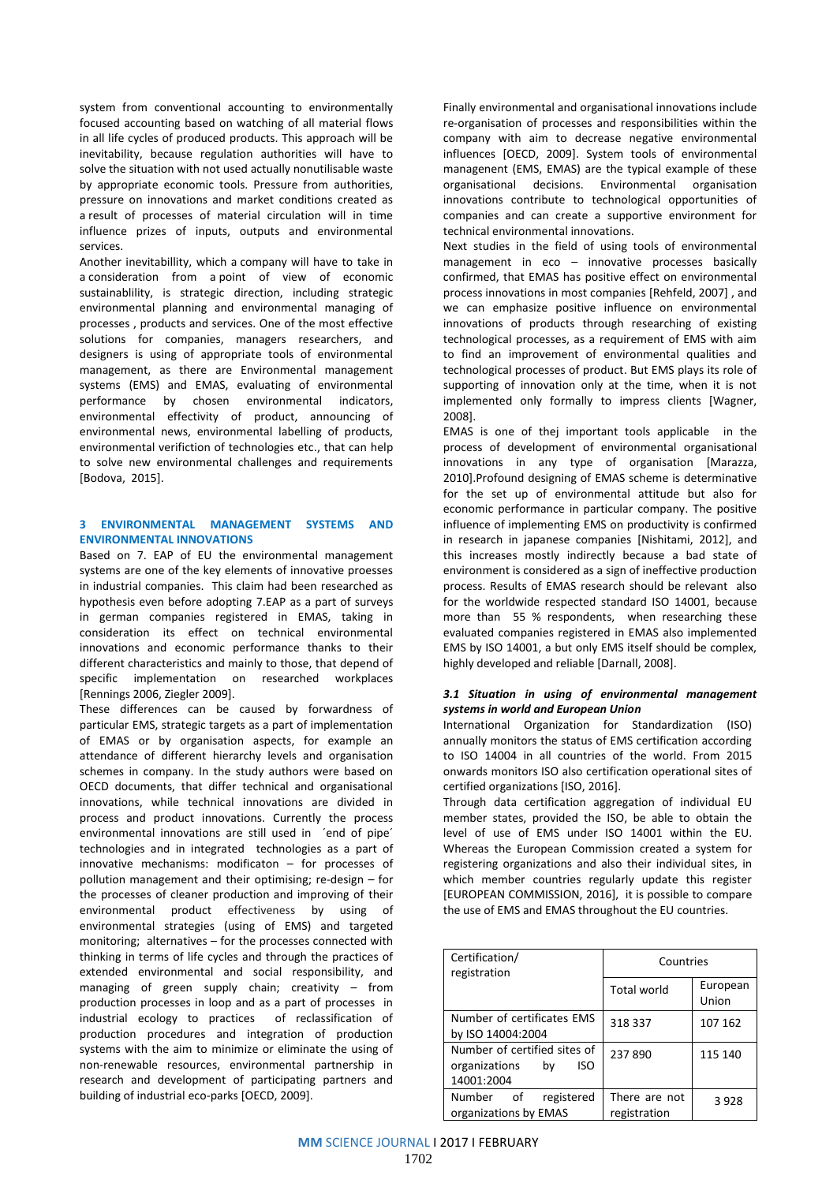system from conventional accounting to environmentally focused accounting based on watching of all material flows in all life cycles of produced products. This approach will be inevitability, because regulation authorities will have to solve the situation with not used actually nonutilisable waste by appropriate economic tools. Pressure from authorities, pressure on innovations and market conditions created as a result of processes of material circulation will in time influence prizes of inputs, outputs and environmental services.

Another inevitabillity, which a company will have to take in a consideration from a point of view of economic sustainablility, is strategic direction, including strategic environmental planning and environmental managing of processes , products and services. One of the most effective solutions for companies, managers researchers, and designers is using of appropriate tools of environmental management, as there are Environmental management systems (EMS) and EMAS, evaluating of environmental performance by chosen environmental indicators, environmental effectivity of product, announcing of environmental news, environmental labelling of products, environmental verifiction of technologies etc., that can help to solve new environmental challenges and requirements [Bodova, 2015].

#### **3 ENVIRONMENTAL MANAGEMENT SYSTEMS AND ENVIRONMENTAL INNOVATIONS**

Based on 7. EAP of EU the environmental management systems are one of the key elements of innovative proesses in industrial companies. This claim had been researched as hypothesis even before adopting 7.EAP as a part of surveys in german companies registered in EMAS, taking in consideration its effect on technical environmental innovations and economic performance thanks to their different characteristics and mainly to those, that depend of specific implementation on researched workplaces [Rennings 2006, Ziegler 2009].

These differences can be caused by forwardness of particular EMS, strategic targets as a part of implementation of EMAS or by organisation aspects, for example an attendance of different hierarchy levels and organisation schemes in company. In the study authors were based on OECD documents, that differ technical and organisational innovations, while technical innovations are divided in process and product innovations. Currently the process environmental innovations are still used in ´end of pipe´ technologies and in integrated technologies as a part of innovative mechanisms: modificaton – for processes of pollution management and their optimising; re-design – for the processes of cleaner production and improving of their environmental product effectiveness by using of environmental strategies (using of EMS) and targeted monitoring; alternatives – for the processes connected with thinking in terms of life cycles and through the practices of extended environmental and social responsibility, and managing of green supply chain; creativity – from production processes in loop and as a part of processes in industrial ecology to practices of reclassification of production procedures and integration of production systems with the aim to minimize or eliminate the using of non-renewable resources, environmental partnership in research and development of participating partners and building of industrial eco-parks [OECD, 2009].

Finally environmental and organisational innovations include re-organisation of processes and responsibilities within the company with aim to decrease negative environmental influences [OECD, 2009]. System tools of environmental managenent (EMS, EMAS) are the typical example of these organisational decisions. Environmental organisation innovations contribute to technological opportunities of companies and can create a supportive environment for technical environmental innovations.

Next studies in the field of using tools of environmental management in eco – innovative processes basically confirmed, that EMAS has positive effect on environmental process innovations in most companies [Rehfeld, 2007] , and we can emphasize positive influence on environmental innovations of products through researching of existing technological processes, as a requirement of EMS with aim to find an improvement of environmental qualities and technological processes of product. But EMS plays its role of supporting of innovation only at the time, when it is not implemented only formally to impress clients [Wagner, 2008].

EMAS is one of thej important tools applicable in the process of development of environmental organisational innovations in any type of organisation [Marazza, 2010].Profound designing of EMAS scheme is determinative for the set up of environmental attitude but also for economic performance in particular company. The positive influence of implementing EMS on productivity is confirmed in research in japanese companies [Nishitami, 2012], and this increases mostly indirectly because a bad state of environment is considered as a sign of ineffective production process. Results of EMAS research should be relevant also for the worldwide respected standard ISO 14001, because more than 55 % respondents, when researching these evaluated companies registered in EMAS also implemented EMS by ISO 14001, a but only EMS itself should be complex, highly developed and reliable [Darnall, 2008].

## *3.1 Situation in using of environmental management systems in world and European Union*

International Organization for Standardization (ISO) annually monitors the status of EMS certification according to ISO 14004 in all countries of the world. From 2015 onwards monitors ISO also certification operational sites of certified organizations [ISO, 2016].

Through data certification aggregation of individual EU member states, provided the ISO, be able to obtain the level of use of EMS under ISO 14001 within the EU. Whereas the European Commission created a system for registering organizations and also their individual sites, in which member countries regularly update this register [EUROPEAN COMMISSION, 2016], it is possible to compare the use of EMS and EMAS throughout the EU countries.

| Certification/<br>registration                                           | Countries                     |                   |
|--------------------------------------------------------------------------|-------------------------------|-------------------|
|                                                                          | <b>Total world</b>            | European<br>Union |
| Number of certificates EMS<br>by ISO 14004:2004                          | 318 337                       | 107 162           |
| Number of certified sites of<br>organizations<br>ISO<br>bv<br>14001:2004 | 237890                        | 115 140           |
| Number of<br>registered<br>organizations by EMAS                         | There are not<br>registration | 3928              |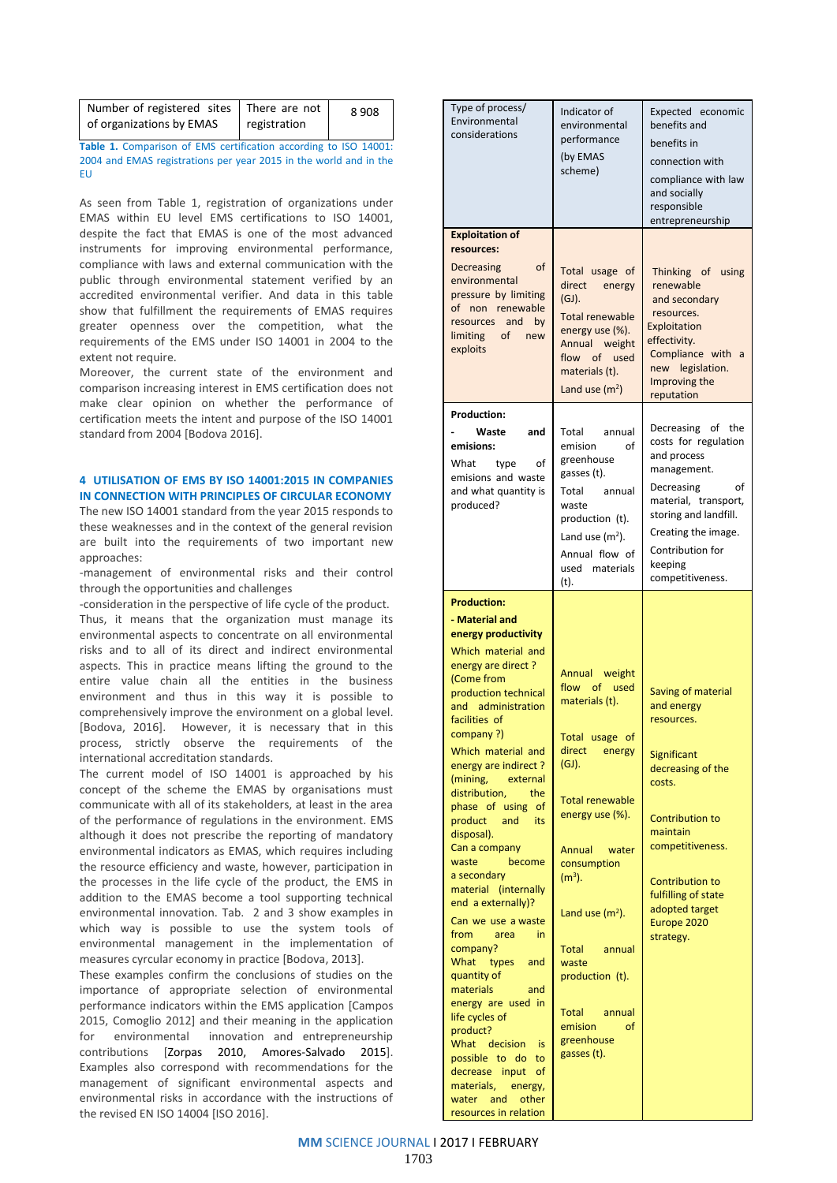| Number of registered sites   There are not |              | 8908 |
|--------------------------------------------|--------------|------|
| of organizations by EMAS                   | registration |      |

**Table 1.** Comparison of EMS certification according to ISO 14001: 2004 and EMAS registrations per year 2015 in the world and in the EU

As seen from Table 1, registration of organizations under EMAS within EU level EMS certifications to ISO 14001, despite the fact that EMAS is one of the most advanced instruments for improving environmental performance, compliance with laws and external communication with the public through environmental statement verified by an accredited environmental verifier. And data in this table show that fulfillment the requirements of EMAS requires greater openness over the competition, what the requirements of the EMS under ISO 14001 in 2004 to the extent not require.

Moreover, the current state of the environment and comparison increasing interest in EMS certification does not make clear opinion on whether the performance of certification meets the intent and purpose of the ISO 14001 standard from 2004 [Bodova 2016].

# **4 UTILISATION OF EMS BY ISO 14001:2015 IN COMPANIES IN CONNECTION WITH PRINCIPLES OF CIRCULAR ECONOMY**

The new ISO 14001 standard from the year 2015 responds to these weaknesses and in the context of the general revision are built into the requirements of two important new approaches:

-management of environmental risks and their control through the opportunities and challenges

-consideration in the perspective of life cycle of the product. Thus, it means that the organization must manage its environmental aspects to concentrate on all environmental risks and to all of its direct and indirect environmental aspects. This in practice means lifting the ground to the entire value chain all the entities in the business environment and thus in this way it is possible to comprehensively improve the environment on a global level. [Bodova, 2016]. However, it is necessary that in this process, strictly observe the requirements of the international accreditation standards.

The current model of ISO 14001 is approached by his concept of the scheme the EMAS by organisations must communicate with all of its stakeholders, at least in the area of the performance of regulations in the environment. EMS although it does not prescribe the reporting of mandatory environmental indicators as EMAS, which requires including the resource efficiency and waste, however, participation in the processes in the life cycle of the product, the EMS in addition to the EMAS become a tool supporting technical environmental innovation. Tab. 2 and 3 show examples in which way is possible to use the system tools of environmental management in the implementation of measures cyrcular economy in practice [Bodova, 2013].

These examples confirm the conclusions of studies on the importance of appropriate selection of environmental performance indicators within the EMS application [Campos 2015, Comoglio 2012] and their meaning in the application for environmental innovation and entrepreneurship contributions [Zorpas 2010, Amores-Salvado 2015]. Examples also correspond with recommendations for the management of significant environmental aspects and environmental risks in accordance with the instructions of the revised EN ISO 14004 [ISO 2016].

| Type of process/<br>Environmental<br>considerations                                                                                                                                                                                                                                                                                                                                                                                                                                                                                                                                                                                                                                                                                                                                          | Indicator of<br>environmental<br>performance<br>(by EMAS<br>scheme)                                                                                                                                                                                                                                                            | Expected economic<br>benefits and<br>benefits in<br>connection with<br>compliance with law<br>and socially<br>responsible<br>entrepreneurship                                                                                                                |
|----------------------------------------------------------------------------------------------------------------------------------------------------------------------------------------------------------------------------------------------------------------------------------------------------------------------------------------------------------------------------------------------------------------------------------------------------------------------------------------------------------------------------------------------------------------------------------------------------------------------------------------------------------------------------------------------------------------------------------------------------------------------------------------------|--------------------------------------------------------------------------------------------------------------------------------------------------------------------------------------------------------------------------------------------------------------------------------------------------------------------------------|--------------------------------------------------------------------------------------------------------------------------------------------------------------------------------------------------------------------------------------------------------------|
| <b>Exploitation of</b><br>resources:<br>Decreasing<br>of<br>environmental<br>pressure by limiting<br>of non renewable<br>resources and by<br>limiting of<br>new<br>exploits                                                                                                                                                                                                                                                                                                                                                                                                                                                                                                                                                                                                                  | Total usage of<br>direct<br>energy<br>$(GJ)$ .<br><b>Total renewable</b><br>energy use (%).<br>Annual weight<br>flow of used<br>materials (t).<br>Land use $(m^2)$                                                                                                                                                             | Thinking of using<br>renewable<br>and secondary<br>resources.<br>Exploitation<br>effectivity.<br>Compliance with a<br>new legislation.<br>Improving the<br>reputation                                                                                        |
| <b>Production:</b><br>Waste<br>and<br>emisions:<br>What<br>οf<br>type<br>emisions and waste<br>and what quantity is<br>produced?                                                                                                                                                                                                                                                                                                                                                                                                                                                                                                                                                                                                                                                             | Total annual<br>emision<br>οf<br>greenhouse<br>gasses (t).<br>annual<br>Total<br>waste<br>production (t).<br>Land use $(m2)$ .<br>Annual flow of<br>used materials<br>(t).                                                                                                                                                     | Decreasing of the<br>costs for regulation<br>and process<br>management.<br>Decreasing<br>of<br>material, transport,<br>storing and landfill.<br>Creating the image.<br>Contribution for<br>keeping<br>competitiveness.                                       |
| <b>Production:</b><br>- Material and<br>energy productivity<br>Which material and<br>energy are direct?<br>(Come from<br>production technical<br>and administration<br>facilities of<br>company ?)<br>Which material and<br>energy are indirect?<br>(mining,<br>external<br>distribution,<br>the<br>phase of using<br>οf<br>product<br>and<br>its<br>disposal).<br>Can a company<br>become<br>waste<br>a secondary<br>material (internally<br>end a externally)?<br>Can we use a waste<br>from<br>area<br>in<br>company?<br>What<br>types<br>and<br>quantity of<br>materials<br>and<br>energy are used in<br>life cycles of<br>product?<br>What<br>decision<br>is<br>possible to do<br>to<br>decrease input<br>οf<br>materials,<br>energy,<br>and<br>other<br>water<br>resources in relation | Annual weight<br>flow of used<br>materials (t).<br>Total usage of<br>direct<br>energy<br>(GJ).<br><b>Total renewable</b><br>energy use (%).<br>Annual<br>water<br>consumption<br>$(m3)$ .<br>Land use $(m2)$ .<br>Total<br>annual<br>waste<br>production (t).<br>Total<br>annual<br>emision<br>οf<br>greenhouse<br>gasses (t). | Saving of material<br>and energy<br>resources.<br><b>Significant</b><br>decreasing of the<br>costs.<br><b>Contribution to</b><br>maintain<br>competitiveness.<br><b>Contribution to</b><br>fulfilling of state<br>adopted target<br>Europe 2020<br>strategy. |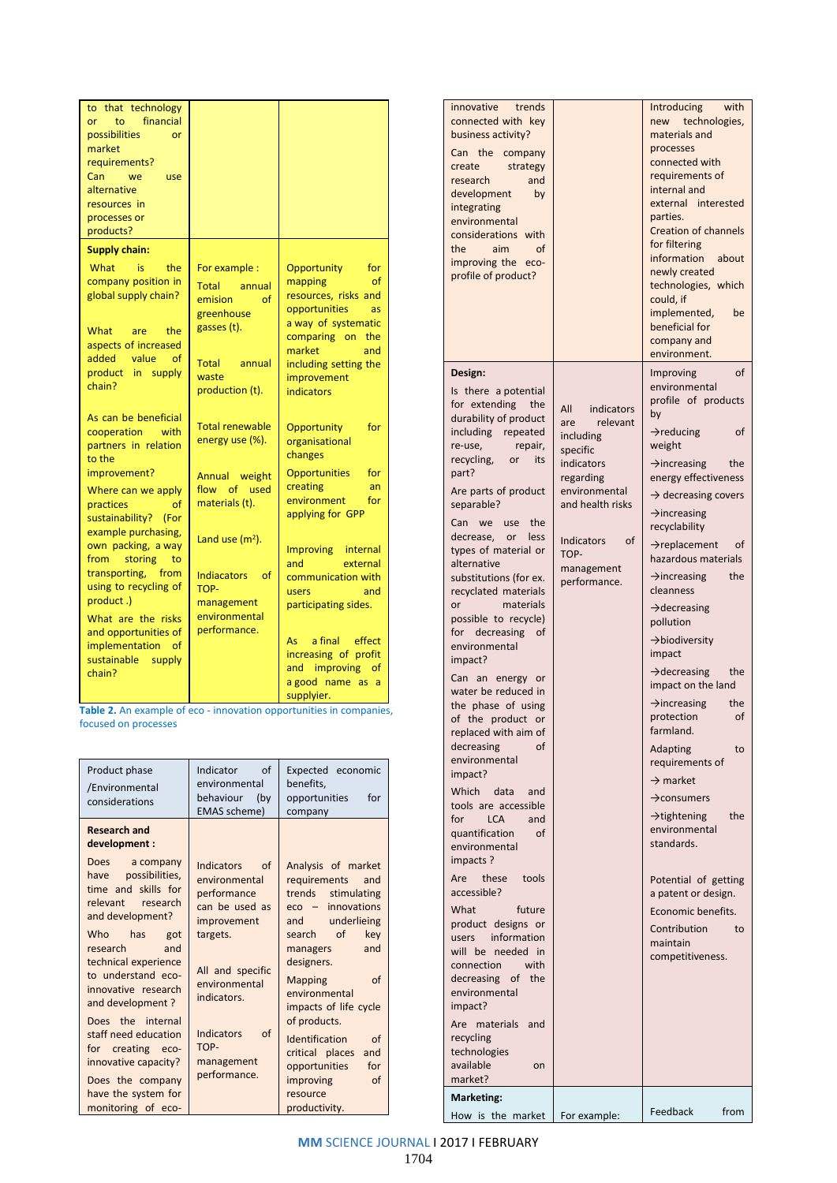| to that technology<br>financial<br>to<br>or<br>possibilities<br><b>or</b><br>market<br>requirements?<br>Can<br>we<br>use<br>alternative<br>resources in<br>processes or<br>products?                                                                                                                                                                                                                                                                                             |                                                                                                                                                                                                      |                                                                                                                                                                                                                                                                                                                                                                         | innovative<br>trends<br>connected with key<br>business activity?<br>Can the company<br>create<br>strategy<br>research<br>and<br>development<br>by<br>integrating<br>environmental<br>considerations with<br>the<br>aim<br><b>of</b>                                                                                                                                                                                                            |                                                                                                                                  |
|----------------------------------------------------------------------------------------------------------------------------------------------------------------------------------------------------------------------------------------------------------------------------------------------------------------------------------------------------------------------------------------------------------------------------------------------------------------------------------|------------------------------------------------------------------------------------------------------------------------------------------------------------------------------------------------------|-------------------------------------------------------------------------------------------------------------------------------------------------------------------------------------------------------------------------------------------------------------------------------------------------------------------------------------------------------------------------|------------------------------------------------------------------------------------------------------------------------------------------------------------------------------------------------------------------------------------------------------------------------------------------------------------------------------------------------------------------------------------------------------------------------------------------------|----------------------------------------------------------------------------------------------------------------------------------|
| <b>Supply chain:</b><br>What<br>is.<br>the<br>company position in<br>global supply chain?<br>What<br>are<br>the<br>aspects of increased<br>added<br>value<br><sub>of</sub>                                                                                                                                                                                                                                                                                                       | For example :<br><b>Total</b><br>annual<br>emision<br><sub>of</sub><br>greenhouse<br>gasses (t).<br><b>Total</b><br>annual                                                                           | Opportunity<br>for<br>of<br>mapping<br>resources, risks and<br>opportunities<br><b>as</b><br>a way of systematic<br>comparing on the<br>market<br>and                                                                                                                                                                                                                   | improving the eco-<br>profile of product?                                                                                                                                                                                                                                                                                                                                                                                                      |                                                                                                                                  |
| product in supply<br>chain?                                                                                                                                                                                                                                                                                                                                                                                                                                                      | waste<br>production (t).                                                                                                                                                                             | including setting the<br>improvement<br><b>indicators</b>                                                                                                                                                                                                                                                                                                               | Design:<br>Is there a potential<br>for extending<br>the                                                                                                                                                                                                                                                                                                                                                                                        |                                                                                                                                  |
| As can be beneficial<br>cooperation<br>with<br>partners in relation<br>to the<br>improvement?<br>Where can we apply<br>practices<br>of<br>sustainability? (For<br>example purchasing,<br>own packing, a way<br>from<br>storing<br>to<br>transporting,<br>from<br>using to recycling of<br>product.)<br>What are the risks<br>and opportunities of<br>implementation of<br>sustainable<br>supply<br>chain?<br>Table 2. An example of eco - innovation opportunities in companies, | <b>Total renewable</b><br>energy use (%).<br>Annual weight<br>flow of used<br>materials (t).<br>Land use $(m2)$ .<br><b>Indiacators</b><br>of<br>TOP-<br>management<br>environmental<br>performance. | Opportunity<br>for<br>organisational<br>changes<br><b>Opportunities</b><br>for<br>creating<br>an<br>environment<br>for<br>applying for GPP<br><b>Improving</b><br>internal<br>and<br>external<br>communication with<br>users<br>and<br>participating sides.<br>a final<br>effect<br>As<br>increasing of profit<br>and improving<br>of<br>a good name as a<br>supplyier. | durability of product<br>including repeated<br>re-use,<br>repair,<br>recycling,<br>its<br>or<br>part?<br>Are parts of product<br>separable?<br>Can we use the<br>decrease,<br>or<br>less<br>types of material or<br>alternative<br>substitutions (for ex.<br>recyclated materials<br>or<br>materials<br>possible to recycle)<br>for decreasing of<br>environmental<br>impact?<br>Can an energy or<br>water be reduced in<br>the phase of using | All<br>in<br>are<br>includin<br>specific<br>indicato<br>regardir<br>environi<br>and hea<br>Indicato<br>TOP-<br>manage<br>perform |
| focused on processes                                                                                                                                                                                                                                                                                                                                                                                                                                                             |                                                                                                                                                                                                      |                                                                                                                                                                                                                                                                                                                                                                         | of the product or<br>replaced with aim of<br>decreasing<br>of<br>environmental                                                                                                                                                                                                                                                                                                                                                                 |                                                                                                                                  |
| Product phase<br>/Environmental<br>considerations                                                                                                                                                                                                                                                                                                                                                                                                                                | Indicator<br>of<br>environmental<br>behaviour<br>(by<br>EMAS scheme)                                                                                                                                 | Expected economic<br>benefits,<br>opportunities<br>for<br>company                                                                                                                                                                                                                                                                                                       | impact?<br>Which<br>data<br>and<br>tools are accessible<br>for<br><b>LCA</b><br>and                                                                                                                                                                                                                                                                                                                                                            |                                                                                                                                  |
| <b>Research and</b><br>development :                                                                                                                                                                                                                                                                                                                                                                                                                                             |                                                                                                                                                                                                      |                                                                                                                                                                                                                                                                                                                                                                         | quantification<br>of<br>environmental                                                                                                                                                                                                                                                                                                                                                                                                          |                                                                                                                                  |

| Product phase<br>/Environmental<br>considerations                                                                                                                                                                                                        | $\alpha$ f<br>Indicator<br>environmental<br>behaviour<br>(by<br>EMAS scheme)                                                                             | Expected economic<br>benefits,<br>opportunities<br>for<br>company                                                                                                                                                                                         |
|----------------------------------------------------------------------------------------------------------------------------------------------------------------------------------------------------------------------------------------------------------|----------------------------------------------------------------------------------------------------------------------------------------------------------|-----------------------------------------------------------------------------------------------------------------------------------------------------------------------------------------------------------------------------------------------------------|
| <b>Research and</b><br>development:                                                                                                                                                                                                                      |                                                                                                                                                          |                                                                                                                                                                                                                                                           |
| Does a company<br>have possibilities,<br>time and skills for<br>relevant research<br>and development?<br>Who has<br>got<br>and<br>research<br>technical experience<br>to understand eco-<br>innovative research<br>and development?<br>Does the internal | <b>Indicators</b><br>of<br>environmental<br>performance<br>can be used as<br>improvement<br>targets.<br>All and specific<br>environmental<br>indicators. | Analysis of market<br>requirements<br>and<br>trends<br>stimulating<br>$eco - innovations$<br>underlieing<br>and<br>of<br>key<br>search<br>and<br>managers<br>designers.<br><b>Mapping</b><br>of<br>environmental<br>impacts of life cycle<br>of products. |
| staff need education<br>for creating eco-<br>innovative capacity?<br>Does the company<br>have the system for<br>monitoring of eco-                                                                                                                       | Indicators<br>of<br>TOP-<br>management<br>performance.                                                                                                   | Identification<br>of<br>critical places<br>and<br>opportunities<br>for<br>improving<br>of<br>resource<br>productivity.                                                                                                                                    |

| innovative trends<br>connected with key<br>business activity?<br>Can the<br>company<br>create<br>strategy<br>research<br>and<br>development<br>by<br>integrating<br>environmental<br>considerations with<br>the<br>aim<br>οf<br>improving the eco-<br>profile of product? |                                      | with<br>Introducing<br>technologies,<br>new<br>materials and<br>processes<br>connected with<br>requirements of<br>internal and<br>external interested<br>parties.<br><b>Creation of channels</b><br>for filtering<br>information<br>about<br>newly created<br>technologies, which<br>could, if<br>implemented,<br>be<br>beneficial for<br>company and<br>environment. |
|---------------------------------------------------------------------------------------------------------------------------------------------------------------------------------------------------------------------------------------------------------------------------|--------------------------------------|-----------------------------------------------------------------------------------------------------------------------------------------------------------------------------------------------------------------------------------------------------------------------------------------------------------------------------------------------------------------------|
| Design:                                                                                                                                                                                                                                                                   |                                      | of<br>Improving                                                                                                                                                                                                                                                                                                                                                       |
| Is there a potential<br>for extending<br>the<br>durability of product<br>including repeated                                                                                                                                                                               | All<br>indicators<br>relevant<br>are | environmental<br>profile of products<br>by<br>$\rightarrow$ reducing<br>οf                                                                                                                                                                                                                                                                                            |
| re-use,<br>repair,<br>recycling,<br>or<br>its                                                                                                                                                                                                                             | including<br>specific                | weight                                                                                                                                                                                                                                                                                                                                                                |
| part?                                                                                                                                                                                                                                                                     | indicators<br>regarding              | $\rightarrow$ increasing<br>the<br>energy effectiveness                                                                                                                                                                                                                                                                                                               |
| Are parts of product<br>separable?                                                                                                                                                                                                                                        | environmental<br>and health risks    | $\rightarrow$ decreasing covers<br>$\rightarrow$ increasing                                                                                                                                                                                                                                                                                                           |
| Can<br>we<br>use<br>the<br>decrease,<br>or<br>less                                                                                                                                                                                                                        | Indicators<br>οf                     | recyclability                                                                                                                                                                                                                                                                                                                                                         |
| types of material or<br>alternative                                                                                                                                                                                                                                       | TOP-<br>management                   | $\rightarrow$ replacement<br>οf<br>hazardous materials                                                                                                                                                                                                                                                                                                                |
| substitutions (for ex.<br>recyclated materials                                                                                                                                                                                                                            | performance.                         | $\rightarrow$ increasing<br>the<br>cleanness                                                                                                                                                                                                                                                                                                                          |
| materials<br>or<br>possible to recycle)                                                                                                                                                                                                                                   |                                      | $\rightarrow$ decreasing<br>pollution                                                                                                                                                                                                                                                                                                                                 |
| for decreasing<br>of<br>environmental<br>impact?                                                                                                                                                                                                                          |                                      | $\rightarrow$ biodiversity<br>impact                                                                                                                                                                                                                                                                                                                                  |
| Can an energy or                                                                                                                                                                                                                                                          |                                      | $\rightarrow$ decreasing<br>the<br>impact on the land                                                                                                                                                                                                                                                                                                                 |
| water be reduced in<br>the phase of using<br>of the product or<br>replaced with aim of                                                                                                                                                                                    |                                      | $\rightarrow$ increasing<br>the<br>protection<br>οf<br>farmland.                                                                                                                                                                                                                                                                                                      |
| decreasing<br>of<br>environmental                                                                                                                                                                                                                                         |                                      | Adapting<br>to<br>requirements of                                                                                                                                                                                                                                                                                                                                     |
| impact?<br>Which<br>data<br>and                                                                                                                                                                                                                                           |                                      | $\rightarrow$ market                                                                                                                                                                                                                                                                                                                                                  |
| tools are accessible                                                                                                                                                                                                                                                      |                                      | $\rightarrow$ consumers                                                                                                                                                                                                                                                                                                                                               |
| for<br><b>LCA</b><br>and<br>quantification<br>οf<br>environmental<br>impacts?                                                                                                                                                                                             |                                      | $\rightarrow$ tightening<br>the<br>environmental<br>standards.                                                                                                                                                                                                                                                                                                        |
| Are<br>these<br>tools<br>accessible?                                                                                                                                                                                                                                      |                                      | Potential of getting<br>a patent or design.                                                                                                                                                                                                                                                                                                                           |
| What<br>future                                                                                                                                                                                                                                                            |                                      | Economic benefits.                                                                                                                                                                                                                                                                                                                                                    |
| product designs or                                                                                                                                                                                                                                                        |                                      | Contribution<br>to                                                                                                                                                                                                                                                                                                                                                    |
| information<br>users<br>will be needed in                                                                                                                                                                                                                                 |                                      | maintain                                                                                                                                                                                                                                                                                                                                                              |
| connection<br>with                                                                                                                                                                                                                                                        |                                      | competitiveness.                                                                                                                                                                                                                                                                                                                                                      |
| decreasing of<br>the<br>environmental                                                                                                                                                                                                                                     |                                      |                                                                                                                                                                                                                                                                                                                                                                       |
| impact?<br>Are materials<br>and                                                                                                                                                                                                                                           |                                      |                                                                                                                                                                                                                                                                                                                                                                       |
| recycling                                                                                                                                                                                                                                                                 |                                      |                                                                                                                                                                                                                                                                                                                                                                       |
| technologies<br>available<br>on                                                                                                                                                                                                                                           |                                      |                                                                                                                                                                                                                                                                                                                                                                       |
| market?                                                                                                                                                                                                                                                                   |                                      |                                                                                                                                                                                                                                                                                                                                                                       |
| <b>Marketing:</b>                                                                                                                                                                                                                                                         |                                      | Feedback<br>from                                                                                                                                                                                                                                                                                                                                                      |
| How is the market                                                                                                                                                                                                                                                         | For example:                         |                                                                                                                                                                                                                                                                                                                                                                       |

**MM** SCIENCE JOURNAL I 2017 I FEBRUARY 1704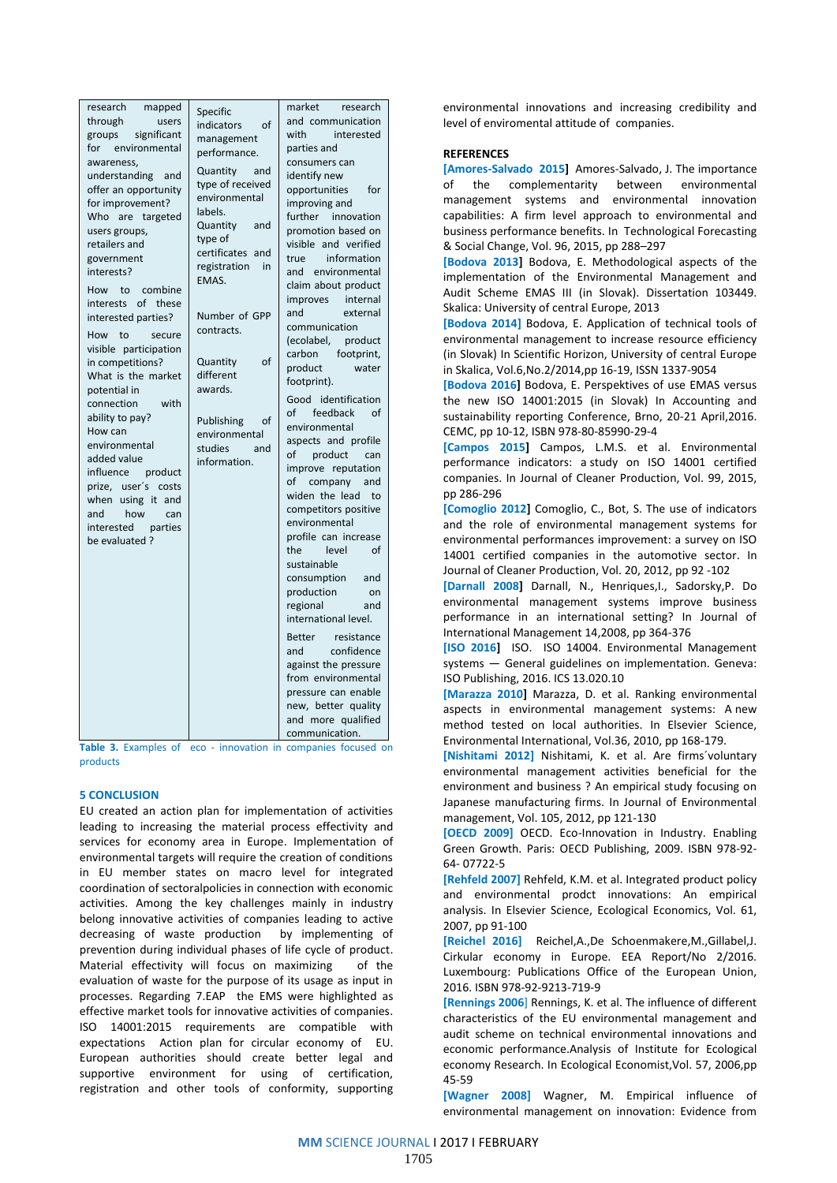| research<br>mapped<br>through<br>users<br>significant<br>groups<br>environmental<br>for<br>awareness,<br>understanding<br>and<br>offer an opportunity<br>for improvement?<br>Who are targeted<br>users groups,<br>retailers and<br>government<br>interests?<br>How to<br>combine<br>of these<br>interests<br>interested parties?<br>to<br>How<br>secure<br>visible participation<br>in competitions?<br>What is the market<br>potential in<br>connection<br>with<br>ability to pay?<br>How can<br>environmental<br>added value<br>influence product<br>prize, user's costs<br>when using it and<br>and<br>how<br>can<br>interested<br>parties<br>be evaluated? | Specific<br>indicators<br>of<br>management<br>performance.<br>Quantity<br>and<br>type of received<br>environmental<br>labels.<br>Quantity<br>and<br>type of<br>certificates and<br>registration<br>in<br>EMAS.<br>Number of GPP<br>contracts.<br>Quantity<br>of<br>different<br>awards.<br>Publishing<br>of<br>environmental<br>studies<br>and<br>information. | market<br>research<br>and communication<br>with<br>interested<br>parties and<br>consumers can<br>identify new<br>opportunities<br>for<br>improving and<br>further innovation<br>promotion based on<br>visible and verified<br>information<br>true<br>and environmental<br>claim about product<br>improves<br>internal<br>and<br>external<br>communication<br>(ecolabel,<br>product<br>carbon footprint,<br>product<br>water<br>footprint).<br>Good identification<br>of feedback<br>of<br>environmental<br>aspects and profile<br>of<br>product<br>can<br>improve reputation<br>of company and<br>widen the lead<br>to<br>competitors positive<br>environmental<br>profile can increase<br>the<br>level<br>οf<br>sustainable<br>consumption<br>and<br>production<br>on<br>regional<br>and<br>international level.<br>Better<br>resistance<br>confidence<br>and<br>against the pressure |
|----------------------------------------------------------------------------------------------------------------------------------------------------------------------------------------------------------------------------------------------------------------------------------------------------------------------------------------------------------------------------------------------------------------------------------------------------------------------------------------------------------------------------------------------------------------------------------------------------------------------------------------------------------------|----------------------------------------------------------------------------------------------------------------------------------------------------------------------------------------------------------------------------------------------------------------------------------------------------------------------------------------------------------------|----------------------------------------------------------------------------------------------------------------------------------------------------------------------------------------------------------------------------------------------------------------------------------------------------------------------------------------------------------------------------------------------------------------------------------------------------------------------------------------------------------------------------------------------------------------------------------------------------------------------------------------------------------------------------------------------------------------------------------------------------------------------------------------------------------------------------------------------------------------------------------------|
|                                                                                                                                                                                                                                                                                                                                                                                                                                                                                                                                                                                                                                                                |                                                                                                                                                                                                                                                                                                                                                                | from environmental<br>pressure can enable<br>new, better quality<br>and more qualified<br>communication.                                                                                                                                                                                                                                                                                                                                                                                                                                                                                                                                                                                                                                                                                                                                                                               |

**Table 3.** Examples of eco - innovation in companies focused on products

#### **5 CONCLUSION**

EU created an action plan for implementation of activities leading to increasing the material process effectivity and services for economy area in Europe. Implementation of environmental targets will require the creation of conditions in EU member states on macro level for integrated coordination of sectoralpolicies in connection with economic activities. Among the key challenges mainly in industry belong innovative activities of companies leading to active decreasing of waste production by implementing of prevention during individual phases of life cycle of product. Material effectivity will focus on maximizing of the evaluation of waste for the purpose of its usage as input in processes. Regarding 7.EAP the EMS were highlighted as effective market tools for innovative activities of companies. ISO 14001:2015 requirements are compatible with expectations Action plan for circular economy of EU. European authorities should create better legal and supportive environment for using of certification, registration and other tools of conformity, supporting

environmental innovations and increasing credibility and level of enviromental attitude of companies.

## **REFERENCES**

**[Amores-Salvado 2015]** Amores-Salvado, J. The importance of the complementarity between environmental management systems and environmental innovation capabilities: A firm level approach to environmental and business performance benefits. In Technological Forecasting & Social Change, Vol. 96, 2015, pp 288–297

**[Bodova 2013]** Bodova, E. Methodological aspects of the implementation of the Environmental Management and Audit Scheme EMAS III (in Slovak). Dissertation 103449. Skalica: University of central Europe, 2013

**[Bodova 2014]** Bodova, E. Application of technical tools of environmental management to increase resource efficiency (in Slovak) In Scientific Horizon, University of central Europe in Skalica, Vol.6,No.2/2014,pp 16-19, ISSN 1337-9054

**[Bodova 2016]** Bodova, E. Perspektives of use EMAS versus the new ISO 14001:2015 (in Slovak) In Accounting and sustainability reporting Conference, Brno, 20-21 April,2016. CEMC, pp 10-12, ISBN 978-80-85990-29-4

**[Campos 2015]** Campos, L.M.S. et al. Environmental performance indicators: a study on ISO 14001 certified companies. In Journal of Cleaner Production, Vol. 99, 2015, pp 286-296

**[Comoglio 2012]** Comoglio, C., Bot, S. The use of indicators and the role of environmental management systems for environmental performances improvement: a survey on ISO 14001 certified companies in the automotive sector. In Journal of Cleaner Production, Vol. 20, 2012, pp 92 -102

**[Darnall 2008]** Darnall, N., Henriques,I., Sadorsky,P. Do environmental management systems improve business performance in an international setting? In Journal of International Management 14,2008, pp 364-376

**[ISO 2016]** ISO. ISO 14004. Environmental Management systems — General guidelines on implementation. Geneva: ISO Publishing, 2016. ICS 13.020.10

**[Marazza 2010]** Marazza, D. et al. Ranking environmental aspects in environmental management systems: A new method tested on local authorities. In Elsevier Science, Environmental International, Vol.36, 2010, pp 168-179.

**[Nishitami 2012]** Nishitami, K. et al. Are firms´voluntary environmental management activities beneficial for the environment and business ? An empirical study focusing on Japanese manufacturing firms. In Journal of Environmental management, Vol. 105, 2012, pp 121-130

**[OECD 2009]** OECD. Eco-Innovation in Industry. Enabling Green Growth. Paris: OECD Publishing, 2009. ISBN 978-92- 64- 07722-5

**[Rehfeld 2007]** Rehfeld, K.M. et al. Integrated product policy and environmental prodct innovations: An empirical analysis. In Elsevier Science, Ecological Economics, Vol. 61, 2007, pp 91-100

**[Reichel 2016]** Reichel,A.,De Schoenmakere,M.,Gillabel,J. Cirkular economy in Europe. EEA Report/No 2/2016. Luxembourg: Publications Office of the European Union, 2016. ISBN 978-92-9213-719-9

**[Rennings 2006**] Rennings, K. et al. The influence of different characteristics of the EU environmental management and audit scheme on technical environmental innovations and economic performance.Analysis of Institute for Ecological economy Research. In Ecological Economist,Vol. 57, 2006,pp 45-59

**[Wagner 2008]** Wagner, M. Empirical influence of environmental management on innovation: Evidence from